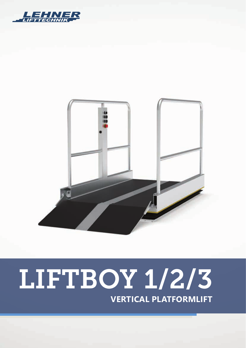



# LIFTBOY 1/2/3 **VERTICAL PLATFORMLIFT**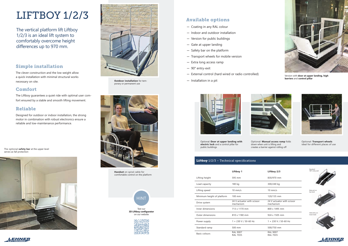## LIFTBOY 1/2/3

The vertical platform lift Liftboy 1/2/3 is an ideal lift system to comfortably overcome height differences up to 970 mm.







**Handset** on spiral cable for comfortable control on the platform



**Outdoor installation** for temporary or permanent use

The optional **safety bar** at the upper level serves as fall protection



## Simple installation

The clever construction and the low weight allow a quick installation with minimal structural works necessary on site.

#### Comfort

The Liftboy guarantees a quiet ride with optimal user comfort ensured by a stable and smooth lifting movement.

## Reliable

Designed for outdoor or indoor installation, the strong motor in combination with robust electronics ensure a reliable and low-maintenance performance.

|                            | Liftboy 1                               | Liftboy 2/3                             |
|----------------------------|-----------------------------------------|-----------------------------------------|
| Lifting height             | 595 mm                                  | 830/970 mm                              |
| Load capacity              | 180 kg                                  | 300/240 kg                              |
| Lifting speed              | $10 \text{ mm/s}$                       | $10 \text{ mm/s}$                       |
| Minimum height of platform | 100 mm                                  | 120/135 mm                              |
| Drive system               | 24 V actuator with scissor<br>mechanism | 24 V actuator with scissor<br>mechanism |
| Inner dimensions           | 713 x 1170 mm                           | 800 x 1495 mm                           |
| <b>Outer dimensions</b>    | 810 x 1180 mm                           | 924 x 1505 mm                           |
| Power supply               | $1 \times 230$ V / 50-60 Hz             | 1 × 230 V / 50-60 Hz                    |
| Standard ramp              | $500 \text{ mm}$                        | 500/750 mm                              |
| Basic colours              | <b>RAL 9007</b><br><b>RAL 7035</b>      | <b>RAL 9007</b><br><b>RAL 7035</b>      |







## Available options

- Coating in any RAL colour
- Indoor and outdoor installation
- Version for public buildings
- Gate at upper landing
- Safety bar on the platform
- Transport wheels for mobile version
- Extra long access ramp
- 90° entry-exit
- External control (hard wired or radio controlled)
- Installation in a pit





Optional: **Door at upper landing with electric lock** and a control pillar for public buildings

#### **Liftboy**  $1/2/3$  – Technical specifications



Optional: **Manual access ramp** folds down when unit is lifting and creates a barrier against rolling off



Optional: **Transport wheels** ideal for different places of use



Version with **door at upper landing, high barriers** and **control pillar**